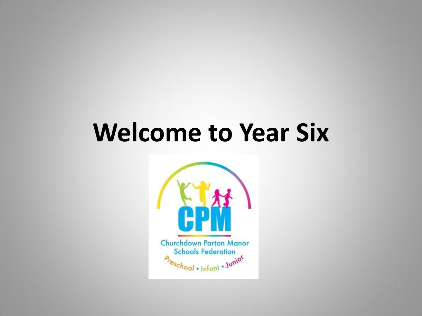## **Welcome to Year Six**

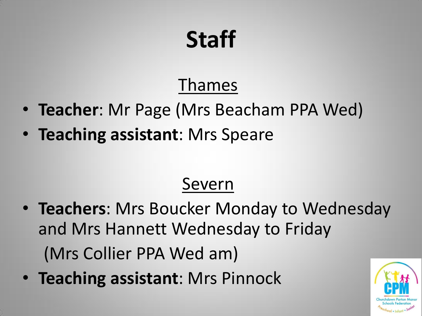## **Staff**

#### Thames

- **Teacher**: Mr Page (Mrs Beacham PPA Wed)
- **Teaching assistant**: Mrs Speare

#### Severn

- **Teachers**: Mrs Boucker Monday to Wednesday and Mrs Hannett Wednesday to Friday (Mrs Collier PPA Wed am)
- **Teaching assistant**: Mrs Pinnock

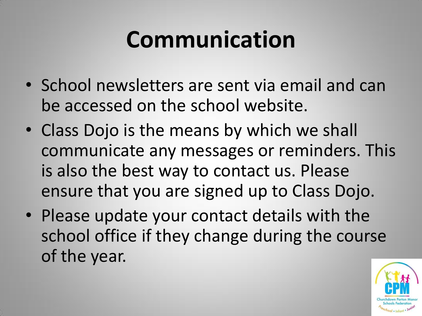## **Communication**

- School newsletters are sent via email and can be accessed on the school website.
- Class Dojo is the means by which we shall communicate any messages or reminders. This is also the best way to contact us. Please ensure that you are signed up to Class Dojo.
- Please update your contact details with the school office if they change during the course of the year.

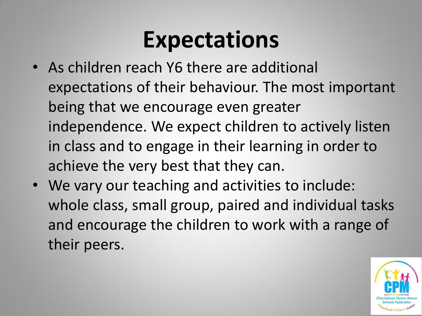### **Expectations**

- As children reach Y6 there are additional expectations of their behaviour. The most important being that we encourage even greater independence. We expect children to actively listen in class and to engage in their learning in order to achieve the very best that they can.
- We vary our teaching and activities to include: whole class, small group, paired and individual tasks and encourage the children to work with a range of their peers.

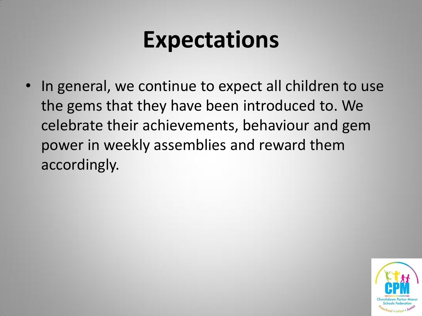#### **Expectations**

• In general, we continue to expect all children to use the gems that they have been introduced to. We celebrate their achievements, behaviour and gem power in weekly assemblies and reward them accordingly.

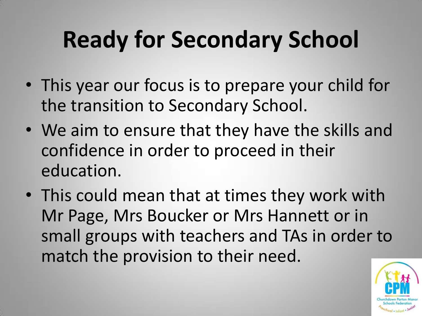# **Ready for Secondary School**

- This year our focus is to prepare your child for the transition to Secondary School.
- We aim to ensure that they have the skills and confidence in order to proceed in their education.
- This could mean that at times they work with Mr Page, Mrs Boucker or Mrs Hannett or in small groups with teachers and TAs in order to match the provision to their need.

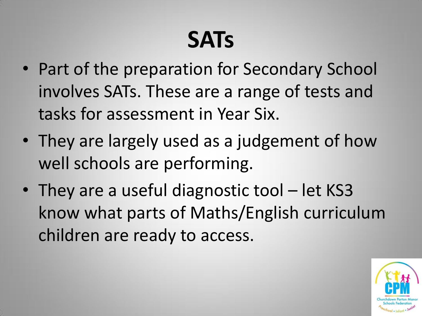## **SATs**

- Part of the preparation for Secondary School involves SATs. These are a range of tests and tasks for assessment in Year Six.
- They are largely used as a judgement of how well schools are performing.
- They are a useful diagnostic tool let KS3 know what parts of Maths/English curriculum children are ready to access.

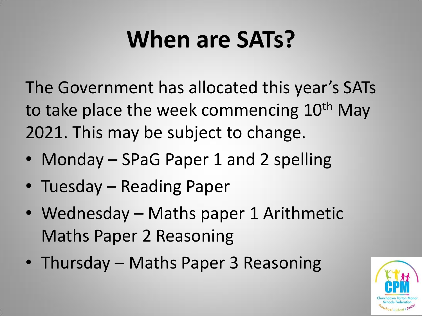## **When are SATs?**

The Government has allocated this year's SATs to take place the week commencing 10<sup>th</sup> May 2021. This may be subject to change.

- Monday SPaG Paper 1 and 2 spelling
- Tuesday Reading Paper
- Wednesday Maths paper 1 Arithmetic Maths Paper 2 Reasoning
- Thursday Maths Paper 3 Reasoning

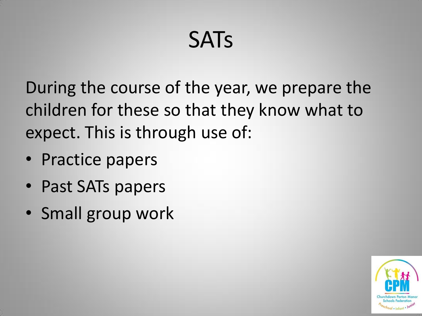### **SATs**

During the course of the year, we prepare the children for these so that they know what to expect. This is through use of:

- Practice papers
- Past SATs papers
- Small group work

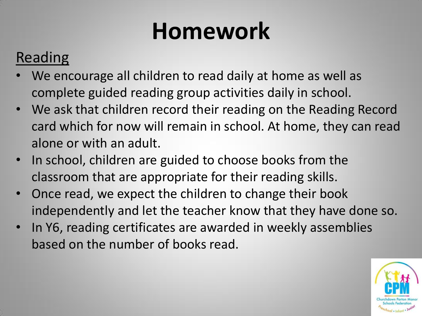#### Reading

- We encourage all children to read daily at home as well as complete guided reading group activities daily in school.
- We ask that children record their reading on the Reading Record card which for now will remain in school. At home, they can read alone or with an adult.
- In school, children are guided to choose books from the classroom that are appropriate for their reading skills.
- Once read, we expect the children to change their book independently and let the teacher know that they have done so.
- In Y6, reading certificates are awarded in weekly assemblies based on the number of books read.

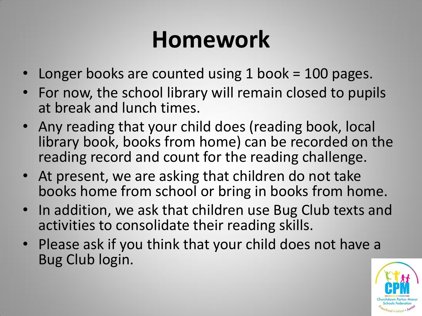- Longer books are counted using 1 book = 100 pages.
- For now, the school library will remain closed to pupils at break and lunch times.
- Any reading that your child does (reading book, local library book, books from home) can be recorded on the reading record and count for the reading challenge.
- At present, we are asking that children do not take books home from school or bring in books from home.
- In addition, we ask that children use Bug Club texts and activities to consolidate their reading skills.
- Please ask if you think that your child does not have a Bug Club login.

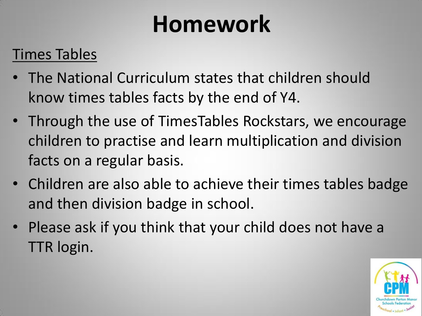#### Times Tables

- The National Curriculum states that children should know times tables facts by the end of Y4.
- Through the use of TimesTables Rockstars, we encourage children to practise and learn multiplication and division facts on a regular basis.
- Children are also able to achieve their times tables badge and then division badge in school.
- Please ask if you think that your child does not have a TTR login.

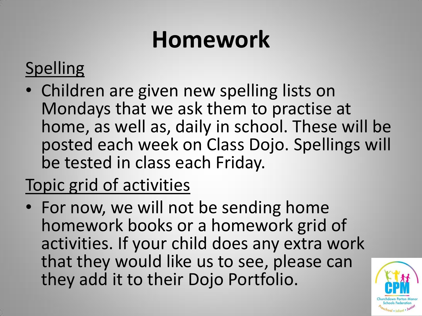#### Spelling

• Children are given new spelling lists on Mondays that we ask them to practise at home, as well as, daily in school. These will be posted each week on Class Dojo. Spellings will be tested in class each Friday.

#### Topic grid of activities

• For now, we will not be sending home homework books or a homework grid of activities. If your child does any extra work that they would like us to see, please can they add it to their Dojo Portfolio.

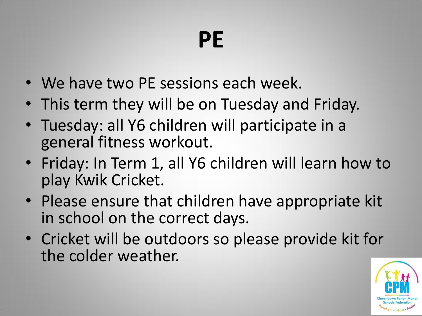### **PE**

- We have two PE sessions each week.
- This term they will be on Tuesday and Friday.
- Tuesday: all Y6 children will participate in a general fitness workout.
- Friday: In Term 1, all Y6 children will learn how to play Kwik Cricket.
- Please ensure that children have appropriate kit in school on the correct days.
- Cricket will be outdoors so please provide kit for the colder weather.

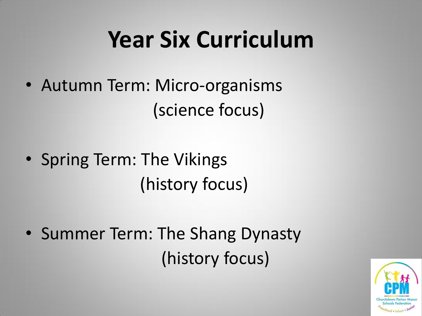## **Year Six Curriculum**

- Autumn Term: Micro-organisms (science focus)
- Spring Term: The Vikings (history focus)
- Summer Term: The Shang Dynasty (history focus)

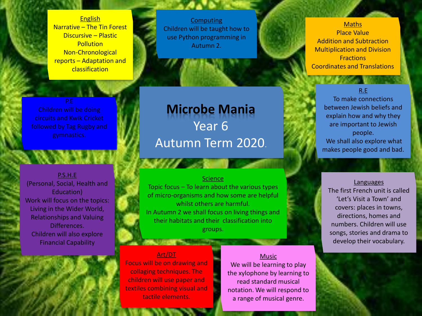**English** Narrative – The Tin Forest Discursive – Plastic **Pollution** Non-Chronological reports – Adaptation and classification

**Computing** Children will be taught how to use Python programming in Autumn 2.

Children will be doing circuits and Kwik Cricket followed by Tag Rugby and

P.S.H.E (Personal, Social, Health and Education) Work will focus on the topics: Living in the Wider World, Relationships and Valuing Differences. Children will also explore Financial Capability

#### **Microbe Mania** Year 6 Autumn Term 2020.

#### **Science**

Topic focus – To learn about the various types of micro-organisms and how some are helpful whilst others are harmful. In Autumn 2 we shall focus on living things and their habitats and their classification into groups.

#### Art/DT

Focus will be on drawing and collaging techniques. The children will use paper and textiles combining visual and tactile elements.

Music We will be learning to play the xylophone by learning to read standard musical notation. We will respond to a range of musical genre.

#### **Maths**

Place Value Addition and Subtraction Multiplication and Division **Fractions** Coordinates and Translations

#### R.E

To make connections between Jewish beliefs and explain how and why they are important to Jewish people. We shall also explore what makes people good and bad.

Languages The first French unit is called 'Let's Visit a Town' and covers: places in towns, directions, homes and numbers. Children will use songs, stories and drama to develop their vocabulary.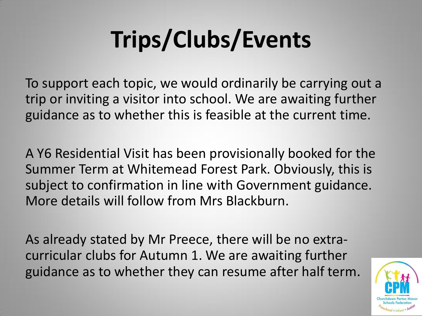# **Trips/Clubs/Events**

To support each topic, we would ordinarily be carrying out a trip or inviting a visitor into school. We are awaiting further guidance as to whether this is feasible at the current time.

A Y6 Residential Visit has been provisionally booked for the Summer Term at Whitemead Forest Park. Obviously, this is subject to confirmation in line with Government guidance. More details will follow from Mrs Blackburn.

As already stated by Mr Preece, there will be no extracurricular clubs for Autumn 1. We are awaiting further guidance as to whether they can resume after half term.